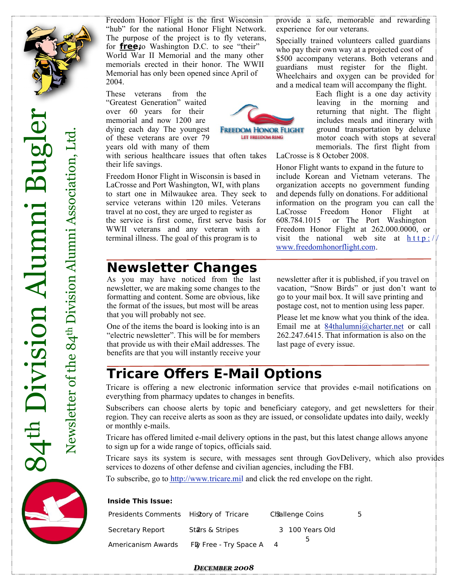

These veterans from the "Greatest Generation" waited over 60 years for their memorial and now 1200 are dying each day The youngest of these veterans are over 79 years old with many of them

with serious healthcare issues that often takes their life savings.

Freedom Honor Flight in Wisconsin is based in LaCrosse and Port Washington, WI, with plans to start one in Milwaukee area. They seek to service veterans within 120 miles. Veterans travel at no cost, they are urged to register as the service is first come, first serve basis for WWII veterans and any veteran with a terminal illness. The goal of this program is to

## **Newsletter Changes**

As you may have noticed from the last newsletter, we are making some changes to the formatting and content. Some are obvious, like the format of the issues, but most will be areas that you will probably not see.

One of the items the board is looking into is an "electric newsletter". This will be for members that provide us with their eMail addresses. The benefits are that you will instantly receive your

provide a safe, memorable and rewarding experience for our veterans.

Specially trained volunteers called guardians who pay their own way at a projected cost of \$500 accompany veterans. Both veterans and guardians must register for the flight. Wheelchairs and oxygen can be provided for and a medical team will accompany the flight.



Each flight is a one day activity leaving in the morning and returning that night. The flight includes meals and itinerary with ground transportation by deluxe motor coach with stops at several memorials. The first flight from

LaCrosse is 8 October 2008.

Honor Flight wants to expand in the future to include Korean and Vietnam veterans. The organization accepts no government funding and depends fully on donations. For additional information on the program you can call the LaCrosse Freedom Honor Flight at 608.784.1015 or The Port Washington Freedom Honor Flight at 262.000.0000, or visit the national web site at  $h \, \text{t} \, t \, p$ :// www.freedomhonorflight.com.

newsletter after it is published, if you travel on vacation, "Snow Birds" or just don't want to go to your mail box. It will save printing and postage cost, not to mention using less paper.

Please let me know what you think of the idea. Email me at 84thalumni@charter.net or call 262.247.6415. That information is also on the last page of every issue.

## **Tricare Offers E-Mail Options**

Tricare is offering a new electronic information service that provides e-mail notifications on everything from pharmacy updates to changes in benefits.

Subscribers can choose alerts by topic and beneficiary category, and get newsletters for their region. They can receive alerts as soon as they are issued, or consolidate updates into daily, weekly or monthly e-mails.

Tricare has offered limited e-mail delivery options in the past, but this latest change allows anyone to sign up for a wide range of topics, officials said.

Tricare says its system is secure, with messages sent through GovDelivery, which also provides services to dozens of other defense and civilian agencies, including the FBI.

To subscribe, go to http://www.tricare.mil and click the red envelope on the right.

#### **Inside This Issue:**

| Presidents Comments History of Tricare |                        | Challenge Coins |  |
|----------------------------------------|------------------------|-----------------|--|
| Secretary Report                       | Stars & Stripes        | 3 100 Years Old |  |
| Americanism Awards                     | Fly Free - Try Space A | ל               |  |

#### *DECEMBER 2008*

 $\mathsf{Z}$ e

w sletter

of $\mathbf{t}$ e $\infty$  $\frac{4}{4}$ 

Divisio

 $\mathbf \Xi$ Al  $\mathbf{p}$  ${\bf n}$ 

ni A sso

cia

tio

n, L td.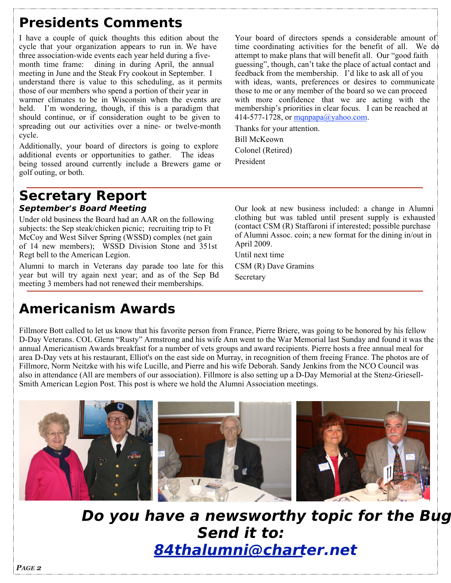# **Presidents Comments**

I have a couple of quick thoughts this edition about the cycle that your organization appears to run in. We have three association-wide events each year held during a fivemonth time frame: dining in during April, the annual meeting in June and the Steak Fry cookout in September. I understand there is value to this scheduling, as it permits those of our members who spend a portion of their year in warmer climates to be in Wisconsin when the events are held. I'm wondering, though, if this is a paradigm that should continue, or if consideration ought to be given to spreading out our activities over a nine- or twelve-month cycle.

Additionally, your board of directors is going to explore additional events or opportunities to gather. The ideas being tossed around currently include a Brewers game or golf outing, or both.

Your board of directors spends a considerable amount of time coordinating activities for the benefit of all. We do attempt to make plans that will benefit all. Our "good faith guessing", though, can't take the place of actual contact and feedback from the membership. I'd like to ask all of you with ideas, wants, preferences or desires to communicate those to me or any member of the board so we can proceed with more confidence that we are acting with the membership's priorities in clear focus. I can be reached at 414-577-1728, or  $mqnpapa@yahoo.com$ .

Thanks for your attention.

Bill McKeown Colonel (Retired)

President

## **Secretary Report September's Board Meeting**

Under old business the Board had an AAR on the following subjects: the Sep steak/chicken picnic; recruiting trip to Ft McCoy and West Silver Spring (WSSD) complex (net gain of 14 new members); WSSD Division Stone and 351st Regt bell to the American Legion.

Alumni to march in Veterans day parade too late for this year but will try again next year; and as of the Sep Bd meeting 3 members had not renewed their memberships.

Our look at new business included: a change in Alumni clothing but was tabled until present supply is exhausted (contact CSM (R) Staffaroni if interested; possible purchase of Alumni Assoc. coin; a new format for the dining in/out in April 2009.

Until next time CSM (R) Dave Gramins Secretary

# **Americanism Awards**

Fillmore Bott called to let us know that his favorite person from France, Pierre Briere, was going to be honored by his fellow D-Day Veterans. COL Glenn "Rusty" Armstrong and his wife Ann went to the War Memorial last Sunday and found it was the annual Americanism Awards breakfast for a number of vets groups and award recipients. Pierre hosts a free annual meal for area D-Day vets at his restaurant, Elliot's on the east side on Murray, in recognition of them freeing France. The photos are of Fillmore, Norm Neitzke with his wife Lucille, and Pierre and his wife Deborah. Sandy Jenkins from the NCO Council was also in attendance (All are members of our association). Fillmore is also setting up a D-Day Memorial at the Stenz-Griesell-Smith American Legion Post. This post is where we hold the Alumni Association meetings.



**Do you have a newsworthy topic for the Bug Send it to: 84thalumni@charter.net**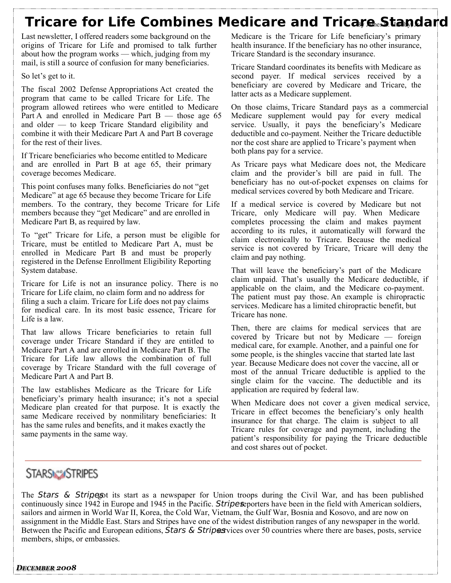## **Tricare for Life Combines Medicare and Tricare Standard**

Last newsletter, I offered readers some background on the origins of Tricare for Life and promised to talk further about how the program works — which, judging from my mail, is still a source of confusion for many beneficiaries.

So let's get to it.

The fiscal 2002 Defense Appropriations Act created the program that came to be called Tricare for Life. The program allowed retirees who were entitled to Medicare Part A and enrolled in Medicare Part  $B$  — those age 65 and older — to keep Tricare Standard eligibility and combine it with their Medicare Part A and Part B coverage for the rest of their lives.

If Tricare beneficiaries who become entitled to Medicare and are enrolled in Part B at age 65, their primary coverage becomes Medicare.

This point confuses many folks. Beneficiaries do not "get Medicare" at age 65 because they become Tricare for Life members. To the contrary, they become Tricare for Life members because they "get Medicare" and are enrolled in Medicare Part B, as required by law.

To "get" Tricare for Life, a person must be eligible for Tricare, must be entitled to Medicare Part A, must be enrolled in Medicare Part B and must be properly registered in the Defense Enrollment Eligibility Reporting System database.

Tricare for Life is not an insurance policy. There is no Tricare for Life claim, no claim form and no address for filing a such a claim. Tricare for Life does not pay claims for medical care. In its most basic essence, Tricare for Life is a law.

That law allows Tricare beneficiaries to retain full coverage under Tricare Standard if they are entitled to Medicare Part A and are enrolled in Medicare Part B. The Tricare for Life law allows the combination of full coverage by Tricare Standard with the full coverage of Medicare Part A and Part B.

The law establishes Medicare as the Tricare for Life beneficiary's primary health insurance; it's not a special Medicare plan created for that purpose. It is exactly the same Medicare received by nonmilitary beneficiaries: It has the same rules and benefits, and it makes exactly the same payments in the same way.

Medicare is the Tricare for Life beneficiary's primary health insurance. If the beneficiary has no other insurance, Tricare Standard is the secondary insurance.

Tricare Standard coordinates its benefits with Medicare as second payer. If medical services received by a beneficiary are covered by Medicare and Tricare, the latter acts as a Medicare supplement.

On those claims, Tricare Standard pays as a commercial Medicare supplement would pay for every medical service. Usually, it pays the beneficiary's Medicare deductible and co-payment. Neither the Tricare deductible nor the cost share are applied to Tricare's payment when both plans pay for a service.

As Tricare pays what Medicare does not, the Medicare claim and the provider's bill are paid in full. The beneficiary has no out-of-pocket expenses on claims for medical services covered by both Medicare and Tricare.

If a medical service is covered by Medicare but not Tricare, only Medicare will pay. When Medicare completes processing the claim and makes payment according to its rules, it automatically will forward the claim electronically to Tricare. Because the medical service is not covered by Tricare, Tricare will deny the claim and pay nothing.

That will leave the beneficiary's part of the Medicare claim unpaid. That's usually the Medicare deductible, if applicable on the claim, and the Medicare co-payment. The patient must pay those. An example is chiropractic services. Medicare has a limited chiropractic benefit, but Tricare has none.

Then, there are claims for medical services that are covered by Tricare but not by Medicare — foreign medical care, for example. Another, and a painful one for some people, is the shingles vaccine that started late last year. Because Medicare does not cover the vaccine, all or most of the annual Tricare deductible is applied to the single claim for the vaccine. The deductible and its application are required by federal law.

When Medicare does not cover a given medical service, Tricare in effect becomes the beneficiary's only health insurance for that charge. The claim is subject to all Tricare rules for coverage and payment, including the patient's responsibility for paying the Tricare deductible and cost shares out of pocket.

## **STARSMASTRIPES**

The Stars  $\&$  Stripes tits start as a newspaper for Union troops during the Civil War, and has been published continuously since 1942 in Europe and 1945 in the Pacific. Stripes porters have been in the field with American soldiers, sailors and airmen in World War II, Korea, the Cold War, Vietnam, the Gulf War, Bosnia and Kosovo, and are now on assignment in the Middle East. Stars and Stripes have one of the widest distribution ranges of any newspaper in the world. Between the Pacific and European editions,  $\overline{S}$ tars & Stripes vices over 50 countries where there are bases, posts, service members, ships, or embassies.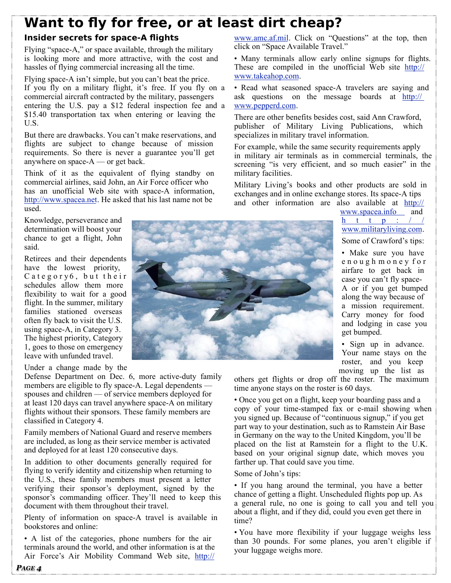# **Want to fly for free, or at least dirt cheap?**

### **Insider secrets for space-A flights**

Flying "space-A," or space available, through the military is looking more and more attractive, with the cost and hassles of flying commercial increasing all the time.

Flying space-A isn't simple, but you can't beat the price. If you fly on a military flight, it's free. If you fly on a commercial aircraft contracted by the military, passengers entering the U.S. pay a \$12 federal inspection fee and a \$15.40 transportation tax when entering or leaving the U.S.

But there are drawbacks. You can't make reservations, and flights are subject to change because of mission requirements. So there is never a guarantee you'll get anywhere on space-A — or get back.

Think of it as the equivalent of flying standby on commercial airlines, said John, an Air Force officer who has an unofficial Web site with space-A information, http://www.spacea.net. He asked that his last name not be used.

Knowledge, perseverance and determination will boost your chance to get a flight, John said.

Retirees and their dependents have the lowest priority,  $C$  a t e g o r y 6, but their schedules allow them more flexibility to wait for a good flight. In the summer, military families stationed overseas often fly back to visit the U.S. using space-A, in Category 3. The highest priority, Category 1, goes to those on emergency leave with unfunded travel.

#### Under a change made by the

Defense Department on Dec. 6, more active-duty family members are eligible to fly space-A. Legal dependents spouses and children — of service members deployed for at least 120 days can travel anywhere space-A on military flights without their sponsors. These family members are classified in Category 4.

Family members of National Guard and reserve members are included, as long as their service member is activated and deployed for at least 120 consecutive days.

In addition to other documents generally required for flying to verify identity and citizenship when returning to the U.S., these family members must present a letter verifying their sponsor's deployment, signed by the sponsor's commanding officer. They'll need to keep this document with them throughout their travel.

Plenty of information on space-A travel is available in bookstores and online:

• A list of the categories, phone numbers for the air terminals around the world, and other information is at the Air Force's Air Mobility Command Web site, http://

www.amc.af.mil. Click on "Questions" at the top, then click on "Space Available Travel."

• Many terminals allow early online signups for flights. These are compiled in the unofficial Web site http:// www.takeahop.com.

• Read what seasoned space-A travelers are saying and ask questions on the message boards at http:// www.pepperd.com.

There are other benefits besides cost, said Ann Crawford, publisher of Military Living Publications, which specializes in military travel information.

For example, while the same security requirements apply in military air terminals as in commercial terminals, the screening "is very efficient, and so much easier" in the military facilities.

Military Living's books and other products are sold in exchanges and in online exchange stores. Its space-A tips and other information are also available at http://

www.spacea.info and h t t p :  $/$  / www.militaryliving.com. Some of Crawford's tips:

• Make sure you have e n o u g h m o n e y f o r airfare to get back in case you can't fly space-A or if you get bumped along the way because of a mission requirement. Carry money for food and lodging in case you get bumped.

• Sign up in advance. Your name stays on the roster, and you keep moving up the list as

others get flights or drop off the roster. The maximum time anyone stays on the roster is 60 days.

• Once you get on a flight, keep your boarding pass and a copy of your time-stamped fax or e-mail showing when you signed up. Because of "continuous signup," if you get part way to your destination, such as to Ramstein Air Base in Germany on the way to the United Kingdom, you'll be placed on the list at Ramstein for a flight to the U.K. based on your original signup date, which moves you farther up. That could save you time.

Some of John's tips:

• If you hang around the terminal, you have a better chance of getting a flight. Unscheduled flights pop up. As a general rule, no one is going to call you and tell you about a flight, and if they did, could you even get there in time?

• You have more flexibility if your luggage weighs less than 30 pounds. For some planes, you aren't eligible if your luggage weighs more.

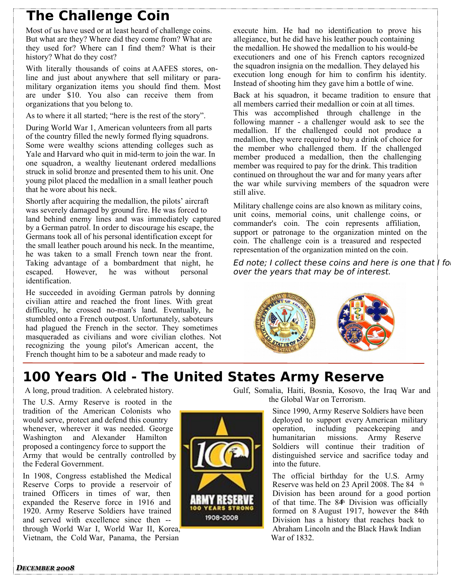# **The Challenge Coin**

Most of us have used or at least heard of challenge coins. But what are they? Where did they come from? What are they used for? Where can I find them? What is their history? What do they cost?

With literally thousands of coins at AAFES stores, online and just about anywhere that sell military or paramilitary organization items you should find them. Most are under \$10. You also can receive them from organizations that you belong to.

As to where it all started; "here is the rest of the story".

During World War 1, American volunteers from all parts of the country filled the newly formed flying squadrons. Some were wealthy scions attending colleges such as Yale and Harvard who quit in mid-term to join the war. In one squadron, a wealthy lieutenant ordered medallions struck in solid bronze and presented them to his unit. One young pilot placed the medallion in a small leather pouch that he wore about his neck.

Shortly after acquiring the medallion, the pilots' aircraft was severely damaged by ground fire. He was forced to land behind enemy lines and was immediately captured by a German patrol. In order to discourage his escape, the Germans took all of his personal identification except for the small leather pouch around his neck. In the meantime, he was taken to a small French town near the front. Taking advantage of a bombardment that night, he escaped. However, he was without personal identification.

He succeeded in avoiding German patrols by donning civilian attire and reached the front lines. With great difficulty, he crossed no-man's land. Eventually, he stumbled onto a French outpost. Unfortunately, saboteurs had plagued the French in the sector. They sometimes masqueraded as civilians and wore civilian clothes. Not recognizing the young pilot's American accent, the French thought him to be a saboteur and made ready to

execute him. He had no identification to prove his allegiance, but he did have his leather pouch containing the medallion. He showed the medallion to his would-be executioners and one of his French captors recognized the squadron insignia on the medallion. They delayed his execution long enough for him to confirm his identity. Instead of shooting him they gave him a bottle of wine.

Back at his squadron, it became tradition to ensure that all members carried their medallion or coin at all times. This was accomplished through challenge in the following manner - a challenger would ask to see the medallion. If the challenged could not produce a medallion, they were required to buy a drink of choice for the member who challenged them. If the challenged member produced a medallion, then the challenging member was required to pay for the drink. This tradition continued on throughout the war and for many years after the war while surviving members of the squadron were still alive.

Military challenge coins are also known as military coins, unit coins, memorial coins, unit challenge coins, or commander's coin. The coin represents affiliation, support or patronage to the organization minted on the coin. The challenge coin is a treasured and respected representation of the organization minted on the coin.

Ed note; I collect these coins and here is one that I fo over the years that may be of interest.



# **100 Years Old - The United States Army Reserve**

A long, proud tradition. A celebrated history.

The U.S. Army Reserve is rooted in the tradition of the American Colonists who would serve, protect and defend this country whenever, wherever it was needed. George Washington and Alexander Hamilton proposed a contingency force to support the Army that would be centrally controlled by the Federal Government.

In 1908, Congress established the Medical Reserve Corps to provide a reservoir of trained Officers in times of war, then expanded the Reserve force in 1916 and 1920. Army Reserve Soldiers have trained and served with excellence since then - through World War I, World War II, Korea, Vietnam, the Cold War, Panama, the Persian



Gulf, Somalia, Haiti, Bosnia, Kosovo, the Iraq War and the Global War on Terrorism.

> Since 1990, Army Reserve Soldiers have been deployed to support every American military operation, including peacekeeping and<br>humanitarian missions. Army Reserve missions. Army Reserve Soldiers will continue their tradition of distinguished service and sacrifice today and into the future.

The official birthday for the U.S. Army Reserve was held on 23 April 2008. The 84 th Division has been around for a good portion of that time. The 84<sup>h</sup> Division was officially formed on 8 August 1917, however the 84th Division has a history that reaches back to Abraham Lincoln and the Black Hawk Indian War of 1832.